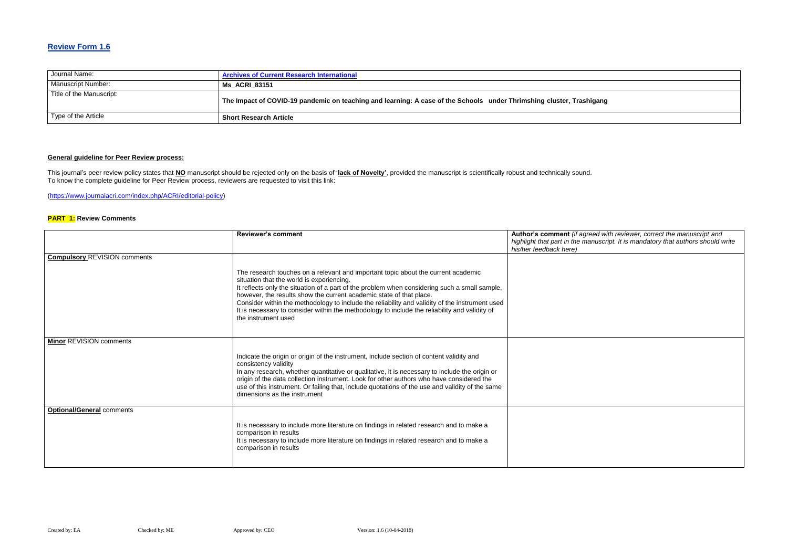## **Review Form 1.6**

| Journal Name:            | <b>Archives of Current Research International</b>                                                                    |
|--------------------------|----------------------------------------------------------------------------------------------------------------------|
| Manuscript Number:       | <b>Ms ACRI 83151</b>                                                                                                 |
| Title of the Manuscript: | The Impact of COVID-19 pandemic on teaching and learning: A case of the Schools under Thrimshing cluster, Trashigang |
| Type of the Article      | <b>Short Research Article</b>                                                                                        |

### **General guideline for Peer Review process:**

 $\text{Red}$  with reviewer, correct the manuscript and *highlight that part in the manuscript. It is mandatory that authors should write* 

This journal's peer review policy states that **NO** manuscript should be rejected only on the basis of '**lack of Novelty'**, provided the manuscript is scientifically robust and technically sound. To know the complete guideline for Peer Review process, reviewers are requested to visit this link:

[\(https://www.journalacri.com/index.php/ACRI/editorial-policy\)](https://www.journalacri.com/index.php/ACRI/editorial-policy)

### **PART 1: Review Comments**

|                                     | <b>Reviewer's comment</b>                                                                                                                                                                                                                                                                                                                                                                                                                                                                                                        | Author's comment (if agre<br>highlight that part in the mar<br>his/her feedback here) |
|-------------------------------------|----------------------------------------------------------------------------------------------------------------------------------------------------------------------------------------------------------------------------------------------------------------------------------------------------------------------------------------------------------------------------------------------------------------------------------------------------------------------------------------------------------------------------------|---------------------------------------------------------------------------------------|
| <b>Compulsory REVISION comments</b> | The research touches on a relevant and important topic about the current academic<br>situation that the world is experiencing.<br>It reflects only the situation of a part of the problem when considering such a small sample,<br>however, the results show the current academic state of that place.<br>Consider within the methodology to include the reliability and validity of the instrument used<br>It is necessary to consider within the methodology to include the reliability and validity of<br>the instrument used |                                                                                       |
| <b>Minor REVISION comments</b>      | Indicate the origin or origin of the instrument, include section of content validity and<br>consistency validity<br>In any research, whether quantitative or qualitative, it is necessary to include the origin or<br>origin of the data collection instrument. Look for other authors who have considered the<br>use of this instrument. Or failing that, include quotations of the use and validity of the same<br>dimensions as the instrument                                                                                |                                                                                       |
| <b>Optional/General comments</b>    | It is necessary to include more literature on findings in related research and to make a<br>comparison in results<br>It is necessary to include more literature on findings in related research and to make a<br>comparison in results                                                                                                                                                                                                                                                                                           |                                                                                       |